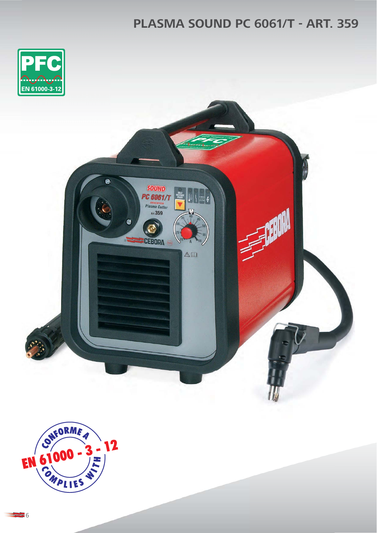## **PLASMA SOUND PC 6061/T - ART. 359**



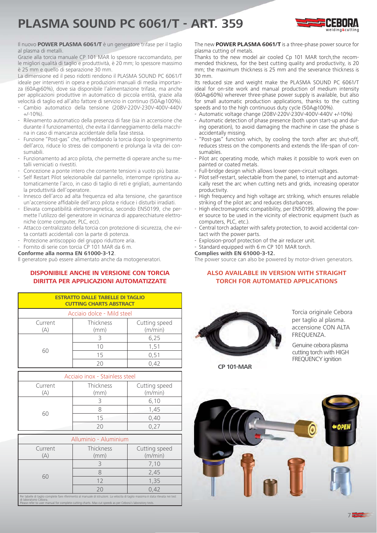# **PLASMA SOUND PC 6061/T - ART. 359**



Il nuovo **POWER PLASMA 6061/T** è un generatore trifase per il taglio al plasma di metalli.

Grazie alla torcia manuale CP 101 MAR lo spessore raccomandato, per le migliori qualità di taglio e produttività, è 20 mm; lo spessore massimo è 25 mm e quello di separazione 30 mm.

La dimensione ed il peso ridotti rendono il PLASMA SOUND PC 6061/T ideale per interventi in opera e produzioni manuali di media importanza (60A@60%), dove sia disponibile l'alimentazione trifase, ma anche per applicazioni produttive in automatico di piccola entità, grazie alla velocità di taglio ed all'alto fattore di servizio in continuo (50A@100%).

- Cambio automatico della tensione (208V-220V-230V-400V-440V  $+/-10\%$
- Rilevamento automatico della presenza di fase (sia in accensione che durante il funzionamento), che evita il danneggiamento della macchina in caso di mancanza accidentale della fase stessa.
- Funzione "Post-gas" che, raffreddando la torcia dopo lo spegnimento dell'arco, riduce lo stress dei componenti e prolunga la vita dei consumabili.
- Funzionamento ad arco pilota, che permette di operare anche su metalli verniciati o rivestiti.
- Concezione a ponte intero che consente tensioni a vuoto più basse.
- Self Restart Pilot selezionabile dal pannello, interrompe ripristina automaticamente l'arco, in caso di taglio di reti e grigliati, aumentando la produttività dell'operatore.
- Innesco dell'arco ad alta frequenza ed alta tensione, che garantisce un'accensione affidabile dell'arco pilota e riduce i disturbi irradiati.
- Elevata compatibilità elettromagnetica, secondo EN50199, che permette l'utilizzo del generatore in vicinanza di apparecchiature elettroniche (come computer, PLC, ecc).
- Attacco centralizzato della torcia con protezione di sicurezza, che evita contatti accidentali con la parte di potenza.
- Protezione antiscoppio del gruppo riduttore aria.
- Fornito di serie con torcia CP 101 MAR da 6 m.

#### **Conforme alla norma EN 61000-3-12**.

Il generatore può essere alimentato anche da motogeneratori.

### **DISPONIBILE ANCHE IN VERSIONE CON TORCIA DIRITTA PER APPLICAZIONI AUTOMATIZZATE**

| <b>ESTRATTO DALLE TABELLE DI TAGLIO</b><br><b>CUTTING CHARTS ABSTRACT</b> |    |                          |  |  |  |  |  |
|---------------------------------------------------------------------------|----|--------------------------|--|--|--|--|--|
| Acciaio dolce - Mild steel                                                |    |                          |  |  |  |  |  |
| Thickness<br>Current<br>(mm)<br>A                                         |    | Cutting speed<br>(m/min) |  |  |  |  |  |
|                                                                           |    | 6,25                     |  |  |  |  |  |
| 60                                                                        |    | 1,51                     |  |  |  |  |  |
|                                                                           | 15 | 0,51                     |  |  |  |  |  |
|                                                                           |    |                          |  |  |  |  |  |

| Acciaio inox - Stainless steel |                   |                          |  |  |  |  |  |
|--------------------------------|-------------------|--------------------------|--|--|--|--|--|
| Current                        | Thickness<br>(mm) | Cutting speed<br>(m/min) |  |  |  |  |  |
|                                |                   | 6,10                     |  |  |  |  |  |
|                                |                   | 1,45                     |  |  |  |  |  |
| 60                             | ۱5                | 0.40                     |  |  |  |  |  |
|                                |                   |                          |  |  |  |  |  |

| Alluminio - Aluminium                                                                                                                                                                                                                                                    |                   |                          |  |  |  |  |
|--------------------------------------------------------------------------------------------------------------------------------------------------------------------------------------------------------------------------------------------------------------------------|-------------------|--------------------------|--|--|--|--|
| Current<br>$\Delta$                                                                                                                                                                                                                                                      | Thickness<br>(mm) | Cutting speed<br>(m/min) |  |  |  |  |
|                                                                                                                                                                                                                                                                          |                   | 7,10                     |  |  |  |  |
|                                                                                                                                                                                                                                                                          |                   | 2,45                     |  |  |  |  |
| 60                                                                                                                                                                                                                                                                       | 12                | 1,35                     |  |  |  |  |
|                                                                                                                                                                                                                                                                          | 20                | 0,42                     |  |  |  |  |
| Per tabelle di taglio complete fare riferimento al manuale di istruzioni. La velocita di taglio massima è stata rilevata nei test<br>di laboratorio Cebora.<br>Please refer to user manual for complete cutting charts. Max cut speeds as per Cebora's laboratory tests. |                   |                          |  |  |  |  |

The new **POWER PLASMA 6061/T** is a three-phase power source for plasma cutting of metals.

Thanks to the new model air cooled Cp 101 MAR torch,the recommended thickness, for the best cutting quality and productivity, is 20 mm; the maximum thickness is 25 mm and the severance thickness is 30 mm.

Its reduced size and weight make the PLASMA SOUND PC 6061/T ideal for on-site work and manual production of medium intensity (60A@60%) wherever three-phase power supply is available, but also for small automatic production applications, thanks to the cutting speeds and to the high continuous duty cycle (50A@100%).

- Automatic voltage change (208V-220V-230V-400V-440V +/-10%)
- Automatic detection of phase presence (both upon start-up and during operation), to avoid damaging the machine in case the phase is accidentally missing.
- "Post-gas" function which, by cooling the torch after arc shut-off, reduces stress on the components and extends the life-span of consumables.
- Pilot arc operating mode, which makes it possible to work even on painted or coated metals.
- Full-bridge design which allows lower open-circuit voltages.
- Pilot self-restart, selectable from the panel, to interrupt and automatically reset the arc when cutting nets and grids, increasing operator productivity.
- High frequency and high voltage arc striking, which ensures reliable striking of the pilot arc and reduces disturbances.
- High electromagnetic compatibility, per EN50199, allowing the power source to be used in the vicinity of electronic equipment (such as computers, PLC, etc.).
- Central torch adapter with safety protection, to avoid accidental contact with the power parts.
- Explosion-proof protection of the air reducer unit.
- Standard equipped with 6 m CP 101 MAR torch.

#### **Complies with EN 61000-3-12.**

The power source can also be powered by motor-driven generators.

### **ALSO AVAILABLE IN VERSION WITH STRAIGHT TORCH FOR AUTOMATED APPLICATIONS**



Torcia originale Cebora accensione CON ALTA FREOUENZA.

Genuine cebora plasma cutting torch with HIGH FREOUENCY ianition FREQUENCY ignition

**CP 101-MAR**